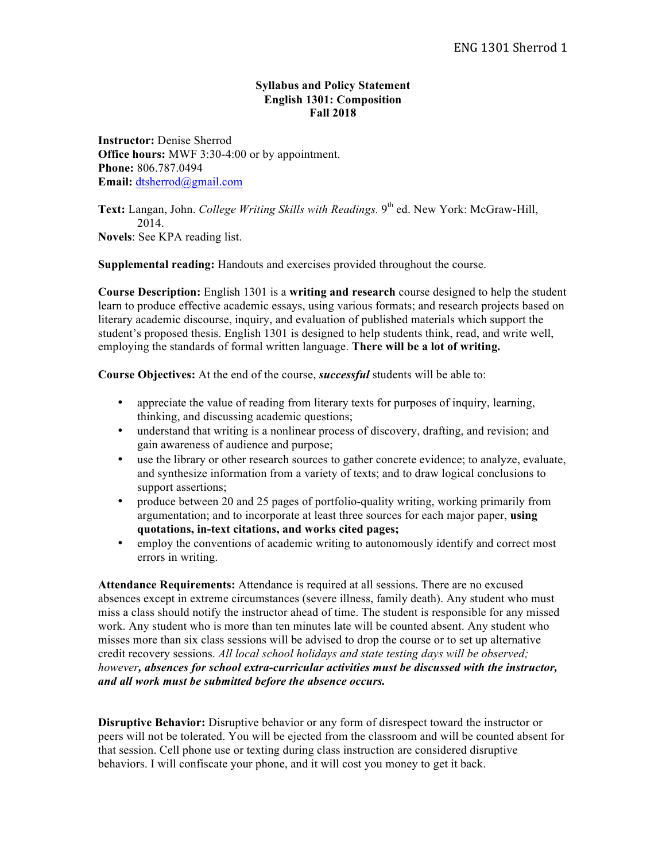## **Syllabus and Policy Statement English 1301: Composition Fall 2018**

**Instructor:** Denise Sherrod **Office hours:** MWF 3:30-4:00 or by appointment. **Phone:** 806.787.0494 **Email:** dtsherrod@gmail.com

**Text:** Langan, John. *College Writing Skills with Readings*. 9<sup>th</sup> ed. New York: McGraw-Hill, 2014. **Novels**: See KPA reading list.

**Supplemental reading:** Handouts and exercises provided throughout the course.

**Course Description:** English 1301 is a **writing and research** course designed to help the student learn to produce effective academic essays, using various formats; and research projects based on literary academic discourse, inquiry, and evaluation of published materials which support the student's proposed thesis. English 1301 is designed to help students think, read, and write well, employing the standards of formal written language. **There will be a lot of writing.**

**Course Objectives:** At the end of the course, *successful* students will be able to:

- appreciate the value of reading from literary texts for purposes of inquiry, learning, thinking, and discussing academic questions;
- understand that writing is a nonlinear process of discovery, drafting, and revision; and gain awareness of audience and purpose;
- use the library or other research sources to gather concrete evidence; to analyze, evaluate, and synthesize information from a variety of texts; and to draw logical conclusions to support assertions;
- produce between 20 and 25 pages of portfolio-quality writing, working primarily from argumentation; and to incorporate at least three sources for each major paper, **using quotations, in-text citations, and works cited pages;**
- employ the conventions of academic writing to autonomously identify and correct most errors in writing.

**Attendance Requirements:** Attendance is required at all sessions. There are no excused absences except in extreme circumstances (severe illness, family death). Any student who must miss a class should notify the instructor ahead of time. The student is responsible for any missed work. Any student who is more than ten minutes late will be counted absent. Any student who misses more than six class sessions will be advised to drop the course or to set up alternative credit recovery sessions. *All local school holidays and state testing days will be observed; however, absences for school extra-curricular activities must be discussed with the instructor, and all work must be submitted before the absence occurs.*

**Disruptive Behavior:** Disruptive behavior or any form of disrespect toward the instructor or peers will not be tolerated. You will be ejected from the classroom and will be counted absent for that session. Cell phone use or texting during class instruction are considered disruptive behaviors. I will confiscate your phone, and it will cost you money to get it back.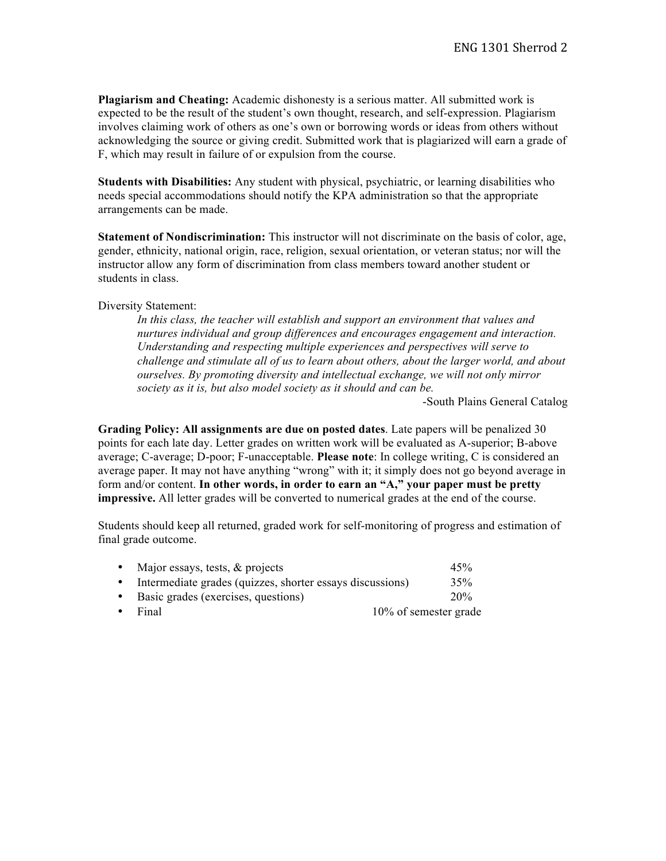**Plagiarism and Cheating:** Academic dishonesty is a serious matter. All submitted work is expected to be the result of the student's own thought, research, and self-expression. Plagiarism involves claiming work of others as one's own or borrowing words or ideas from others without acknowledging the source or giving credit. Submitted work that is plagiarized will earn a grade of F, which may result in failure of or expulsion from the course.

**Students with Disabilities:** Any student with physical, psychiatric, or learning disabilities who needs special accommodations should notify the KPA administration so that the appropriate arrangements can be made.

**Statement of Nondiscrimination:** This instructor will not discriminate on the basis of color, age, gender, ethnicity, national origin, race, religion, sexual orientation, or veteran status; nor will the instructor allow any form of discrimination from class members toward another student or students in class.

## Diversity Statement:

*In this class, the teacher will establish and support an environment that values and nurtures individual and group differences and encourages engagement and interaction. Understanding and respecting multiple experiences and perspectives will serve to challenge and stimulate all of us to learn about others, about the larger world, and about ourselves. By promoting diversity and intellectual exchange, we will not only mirror society as it is, but also model society as it should and can be.*

-South Plains General Catalog

**Grading Policy: All assignments are due on posted dates**. Late papers will be penalized 30 points for each late day. Letter grades on written work will be evaluated as A-superior; B-above average; C-average; D-poor; F-unacceptable. **Please note**: In college writing, C is considered an average paper. It may not have anything "wrong" with it; it simply does not go beyond average in form and/or content. **In other words, in order to earn an "A," your paper must be pretty impressive.** All letter grades will be converted to numerical grades at the end of the course.

Students should keep all returned, graded work for self-monitoring of progress and estimation of final grade outcome.

| • Major essays, tests, $&$ projects                         | 45%                   |  |
|-------------------------------------------------------------|-----------------------|--|
| • Intermediate grades (quizzes, shorter essays discussions) | 35%                   |  |
| • Basic grades (exercises, questions)                       | 20%                   |  |
| $\bullet$ Final                                             | 10% of semester grade |  |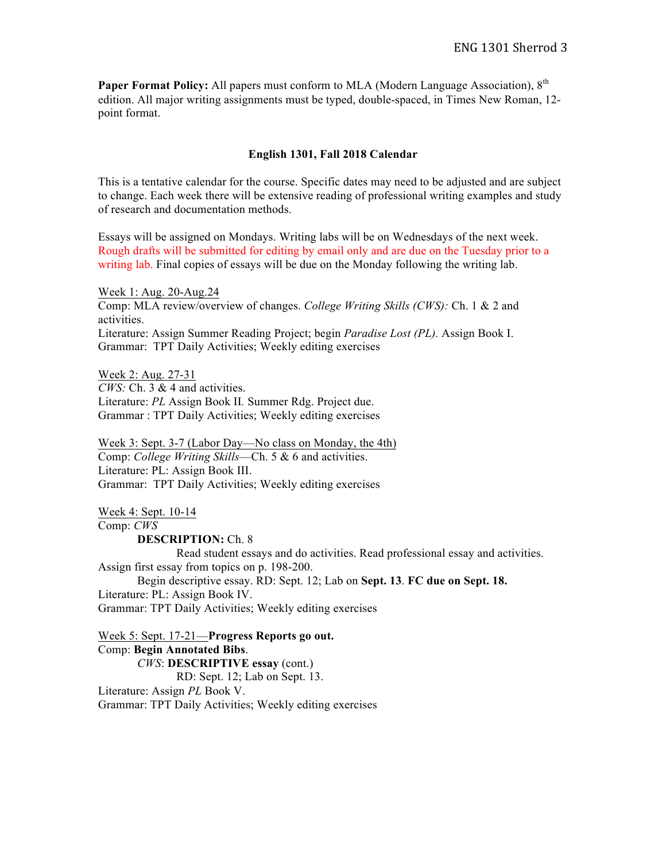Paper Format Policy: All papers must conform to MLA (Modern Language Association). 8<sup>th</sup> edition. All major writing assignments must be typed, double-spaced, in Times New Roman, 12 point format.

## **English 1301, Fall 2018 Calendar**

This is a tentative calendar for the course. Specific dates may need to be adjusted and are subject to change. Each week there will be extensive reading of professional writing examples and study of research and documentation methods.

Essays will be assigned on Mondays. Writing labs will be on Wednesdays of the next week. Rough drafts will be submitted for editing by email only and are due on the Tuesday prior to a writing lab. Final copies of essays will be due on the Monday following the writing lab.

Week 1: Aug. 20-Aug.24 Comp: MLA review/overview of changes. *College Writing Skills (CWS):* Ch. 1 & 2 and activities. Literature: Assign Summer Reading Project; begin *Paradise Lost (PL).* Assign Book I. Grammar: TPT Daily Activities; Weekly editing exercises

Week 2: Aug. 27-31 *CWS:* Ch. 3 & 4 and activities. Literature: *PL* Assign Book II*.* Summer Rdg. Project due. Grammar : TPT Daily Activities; Weekly editing exercises

Week 3: Sept. 3-7 (Labor Day—No class on Monday, the 4th) Comp: *College Writing Skills*—Ch. 5 & 6 and activities. Literature: PL: Assign Book III. Grammar: TPT Daily Activities; Weekly editing exercises

Week 4: Sept. 10-14 Comp: *CWS*

**DESCRIPTION:** Ch. 8

Read student essays and do activities. Read professional essay and activities. Assign first essay from topics on p. 198-200.

Begin descriptive essay. RD: Sept. 12; Lab on **Sept. 13**. **FC due on Sept. 18.** Literature: PL: Assign Book IV. Grammar: TPT Daily Activities; Weekly editing exercises

Week 5: Sept. 17-21—**Progress Reports go out.** Comp: **Begin Annotated Bibs**. *CWS*: **DESCRIPTIVE essay** (cont.) RD: Sept. 12; Lab on Sept. 13. Literature: Assign *PL* Book V. Grammar: TPT Daily Activities; Weekly editing exercises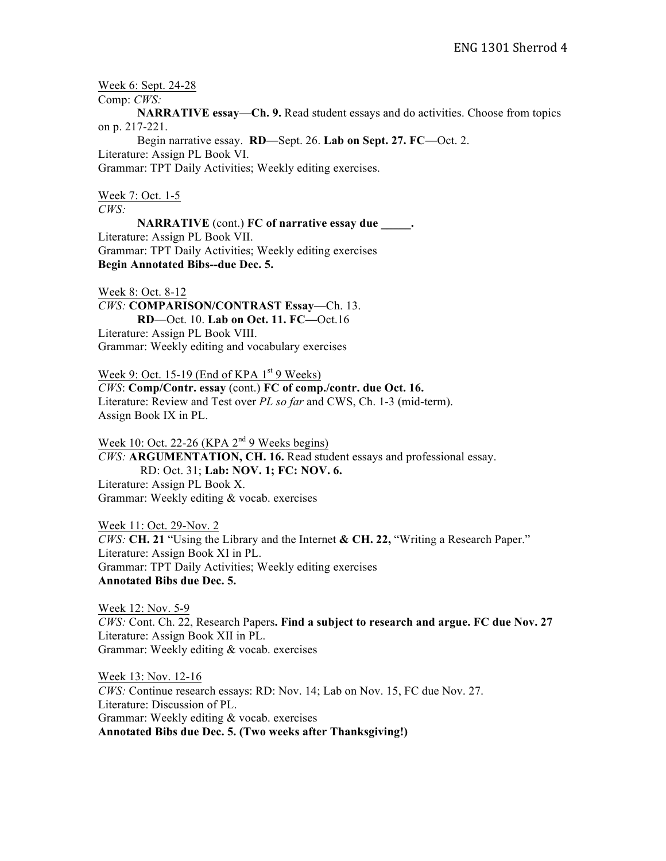Week 6: Sept. 24-28

Comp: *CWS:*

**NARRATIVE essay—Ch. 9.** Read student essays and do activities. Choose from topics on p. 217-221.

Begin narrative essay. **RD**—Sept. 26. **Lab on Sept. 27. FC**—Oct. 2. Literature: Assign PL Book VI. Grammar: TPT Daily Activities; Weekly editing exercises.

Week 7: Oct. 1-5 *CWS:* 

**NARRATIVE** (cont.) **FC of narrative essay due \_\_\_\_\_.** Literature: Assign PL Book VII. Grammar: TPT Daily Activities; Weekly editing exercises **Begin Annotated Bibs--due Dec. 5.**

Week 8: Oct. 8-12

*CWS:* **COMPARISON/CONTRAST Essay—**Ch. 13. **RD**—Oct. 10. **Lab on Oct. 11. FC—**Oct.16 Literature: Assign PL Book VIII. Grammar: Weekly editing and vocabulary exercises

Week 9: Oct. 15-19 (End of KPA  $1<sup>st</sup>$  9 Weeks) *CWS*: **Comp/Contr. essay** (cont.) **FC of comp./contr. due Oct. 16.** Literature: Review and Test over *PL so far* and CWS, Ch. 1-3 (mid-term). Assign Book IX in PL.

Week 10: Oct. 22-26 (KPA  $2<sup>nd</sup>$  9 Weeks begins) *CWS:* **ARGUMENTATION, CH. 16.** Read student essays and professional essay. RD: Oct. 31; **Lab: NOV. 1; FC: NOV. 6.** Literature: Assign PL Book X. Grammar: Weekly editing & vocab. exercises

Week 11: Oct. 29-Nov. 2 *CWS:* **CH. 21** "Using the Library and the Internet **& CH. 22,** "Writing a Research Paper." Literature: Assign Book XI in PL. Grammar: TPT Daily Activities; Weekly editing exercises **Annotated Bibs due Dec. 5.**

Week 12: Nov. 5-9 *CWS:* Cont. Ch. 22, Research Papers**. Find a subject to research and argue. FC due Nov. 27** Literature: Assign Book XII in PL. Grammar: Weekly editing & vocab. exercises

Week 13: Nov. 12-16 *CWS:* Continue research essays: RD: Nov. 14; Lab on Nov. 15, FC due Nov. 27. Literature: Discussion of PL. Grammar: Weekly editing & vocab. exercises **Annotated Bibs due Dec. 5. (Two weeks after Thanksgiving!)**